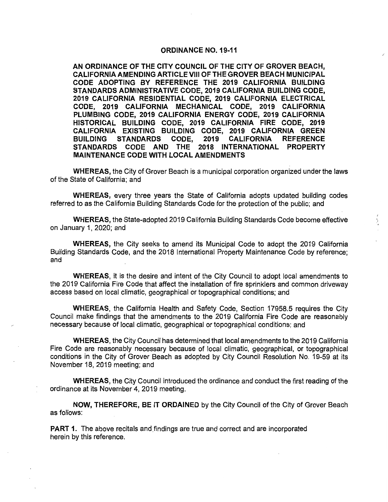### ORDINANCE NO. 19-11

AN ORDINANCE OF THE CITY COUNCIL OF THE CITY OF GROVER BEACH, CALIFORNIA AMENDING ARTICLE VIII OF THE GROVER BEACH MUNICIPAL CODE ADOPTING BY REFERENCE THE 2019 CALIFORNIA BUILDING STANDARDS ADMINISTRATIVE CODE, 2019 CALIFORNIA BUILDING CODE, 2019 CALIFORNIA RESIDENTIAL CODE, 2019 CALIFORNIA ELECTRICAL CODE, 2019 CALIFORNIA MECHANICAL CODE, 2019 CALIFORNIA PLUMBING CODE, 2019 CALIFORNIA ENERGY CODE, 2019 CALIFORNIA HISTORICAL BUILDING CODE, 2019 CALIFORNIA FIRE CODE, 2019 CALIFORNIA EXISTING BUILDING CODE, 2019 CALIFORNIA GREEN BUILDING STANDARDS CODE, 2019 CALIFORNIA REFERENCE STANDARDS CODE AND THE 2018 INTERNATIONAL PROPERTY MAINTENANCE CODE WITH LOCAL AMENDMENTS

WHEREAS, the City of Grover Beach is a municipal corporation organized under the laws of the State of California; and

WHEREAS, every three years the State of California adopts updated building codes referred to as the California Building Standards Code for the protection of the public; and

WHEREAS, the State-adopted 2019 California Building Standards Code become effective on January 1, 2020; and

WHEREAS, the City seeks to amend its Municipal Code to adopt the 2019 California Building Standards Code, and the 2018 International Property Maintenance Code by reference; and

WHEREAS, it is the desire and intent of the City Council to adopt local amendments to the 2019 California Fire Code that affect the installation of fire sprinklers and common driveway access based on local climatic, geographical or topographical conditions; and

WHEREAS, the California Health and Safety Code, Section 17958.5 requires the City Council make findings that the amendments to the 2019 California Fire Code are reasonably necessary because of local climatic, geographical or topographical conditions; and

WHEREAS, the City Council has determined that local amendments to the 2019 California Fire Code are reasonably necessary because of local climatic, geographical, or topographical conditions in the City of Grover Beach as adopted by City Council Resolution No. 19-59 at its November 18, 2019 meeting; and

WHEREAS, the City Council introduced the ordinance and conduct the first reading of the ordinance at its November 4, 2019 meeting.

NOW, THEREFORE, BE IT ORDAINED by the City Council of the City of Grover Beach as follows:

**PART 1.** The above recitals and findings are true and correct and are incorporated herein by this reference.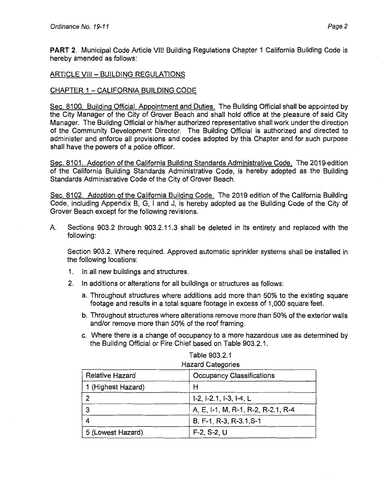**PART** 2. Municipal Code Article VIII Building Regulations Chapter 1 California Building Code is hereby amended as follows:

### ARTICLE VIII - BUILDING REGULATIONS

## CHAPTER 1 - CALIFORNIA BUILDING CODE

Sec. 8100. Building Official. Appointment and Duties. The Building Official shall be appointed by the City Manager of the City of Grover Beach and shall hold office at the pleasure of said City Manager. The Building Official or his/her authorized representative shall work under the direction of the Community Development Director. The Building Official is authorized and directed to administer and enforce all provisions and codes adopted by this Chapter and for such purpose shall have the powers of a police officer.

Sec. 8101. Adoption of the California Building Standards Administrative Code. The 2019-edition of the California Building Standards Administrative Code, is hereby adopted as the Building Standards Administrative Code of the City of Grover Beach.

Sec. 8102. Adoption of the California Building Code. The 2019 edition of the California Building Code, including Appendix B, G, I and J, is hereby adopted as the Building Code of the City of Grover Beach except for the following revisions.

A. Sections 903.2 through 903.2.11.3 shall be deleted in its entirety and replaced with the following:

Section 903.2. Where required. Approved automatic sprinkler systems shall be installed in the following locations:

- 1. In all new buildings and structures.
- 2. In additions or alterations for all buildings or structures as follows:
	- a. Throughout structures where additions add more than 50% to the existing square footage and results in a total square footage in excess of 1,000 square feet.
	- b. Throughout structures where alterations remove more than 50% of the exterior walls and/or remove more than 50% of the roof framing.
	- c. Where there is a change of occupancy to a more hazardous use as determined by the Building Official or Fire Chief based on Table 903.2.1.

| <b>Relative Hazard</b> | <b>Occupancy Classifications</b>    |  |  |  |
|------------------------|-------------------------------------|--|--|--|
| 1 (Highest Hazard)     | Н                                   |  |  |  |
|                        | $1-2$ , $1-2.1$ , $1-3$ , $1-4$ , L |  |  |  |
| -3                     | A, E, I-1, M, R-1, R-2, R-2.1, R-4  |  |  |  |
|                        | B, F-1, R-3, R-3.1, S-1             |  |  |  |
| 5 (Lowest Hazard)      | $F-2, S-2, U$                       |  |  |  |

#### Table 903.2.1 Hazard Categories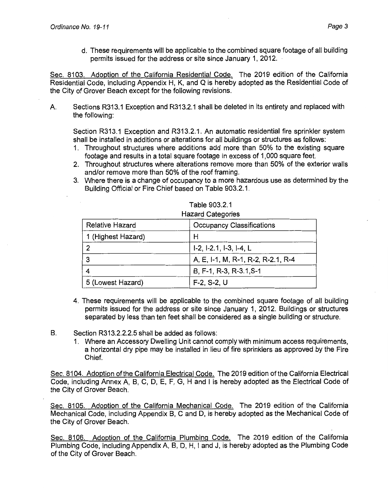d. These requirements will be applicable to the combined square footage of all building permits issued for the address or site since January 1, 2012.

Sec. 8103. Adoption of the California Residential Code. The 2019 edition of the California Residential Code, including Appendix H, K, and Q is hereby adopted as the Residential Code of the City of Grover Beach except for the following revisions.

A Sections R313.1 Exception and R313.2.1 shall be deleted in its entirety and replaced with the following:

Section R313.1 Exception and R313.2.1. An automatic residential fire sprinkler system shall be installed in additions or alterations for all buildings or structures as follows:

- 1. Throughout structures where additions add more than 50% to the existing square footage and results in a total square footage in excess of 1, 000 square feet.
- 2. Throughout structures where alterations remove more than 50% of the exterior walls and/or remove more than 50% of the roof framing.
- 3. Where there is a change of occupancy to a more hazardous use as determined by the Building Official or Fire Chief based on Table 903.2.1.

| THEM Y VAIVYVIIVY      |                                                                                |  |  |  |
|------------------------|--------------------------------------------------------------------------------|--|--|--|
| <b>Relative Hazard</b> | <b>Occupancy Classifications</b>                                               |  |  |  |
| 1 (Highest Hazard)     | Н<br>$1-2$ , $1-2.1$ , $1-3$ , $1-4$ , L<br>A, E, I-1, M, R-1, R-2, R-2.1, R-4 |  |  |  |
|                        |                                                                                |  |  |  |
| 3                      |                                                                                |  |  |  |
|                        | B, F-1, R-3, R-3.1, S-1                                                        |  |  |  |
| 5 (Lowest Hazard)      | $F-2, S-2, U$                                                                  |  |  |  |

| Table 903.2.1     |
|-------------------|
| Hazard Categories |

- 4. These requirements will be applicable to the combined square footage of all building permits issued for the address or site since January 1, 2012. Buildings or structures separated by less than ten feet shall be considered as a single building or structure.
- B. Section R313.2.2.2.5 shall be added as follows:
	- 1. Where an Accessory Dwelling Unit cannot comply with minimum access requirements, a horizontal dry pipe may be installed in lieu of fire sprinklers as approved by the Fire Chief.

Sec. 8104. Adoption of the California Electrical Code. The 2019 edition of the California Electrical Code, including Annex A, 8, C, D, E, F, G, H and I is hereby adopted as the Electrical Code of the City of Grover Beach.

Sec. 8105. Adoption of the California Mechanical Code. The 2019 edition of the California Mechanical Code, including Appendix 8, C and D, is hereby adopted as the Mechanical Code of the City of Grover Beach.

Sec. 8106. Adoption of the California Plumbing Code. The 2019 edition of the California Plumbing Code, including Appendix A, B, D, H, I and J, is hereby adopted as the Plumbing Code of the City of Grover Beach.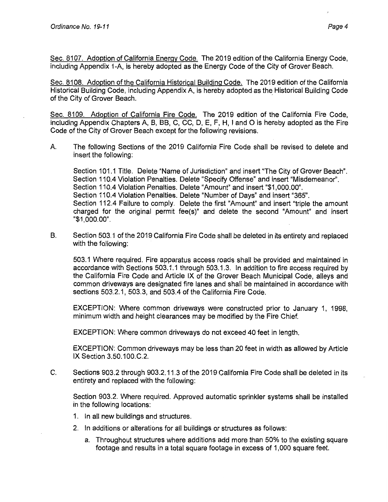Sec. 8107. Adoption of California Energy Code. The 2019 edition of the California Energy Code, including Appendix 1-A, is hereby adopted as the Energy Code of the City of Grover Beach.

Sec. 8108. Adoption of the California Historical Building Code. The 2019 edition of the California Historical Building Code, including Appendix A, is hereby adopted as the Historical Building Code of the City of Grover Beach.

Sec. 8109. Adoption of California Fire Code. The 2019 edition of the California Fire Code, including Appendix Chapters A, B, BB, C, CC, D, E, F, H, I and 0 is hereby adopted as the Fire Code of the City of Grover Beach except for the following revisions.

A. The following Sections of the 2019 California Fire Code shall be revised to delete and insert the following:

Section 101.1 Title. Delete "Name of Jurisdiction" and insert "The City of Grover Beach". Section 110.4 Violation Penalties. Delete "Specify Offense" and insert "Misdemeanor". Section 110.4 Violation Penalties. Delete "Amount" and insert "\$1,000.00". Section 110.4 Violation Penalties. Delete "Number of Days" and insert "365". Section 112.4 Failure to comply. Delete the first "Amount" and insert "triple the amount charged for the original permit fee(s)" and delete the second "Amount" and insert "\$1,000.00".

B. Section 503.1 of the 2019 California Fire Code shall be deleted in its entirety and replaced with the following:

503.1 Where required. Fire apparatus access roads shall be provided and maintained in accordance with Sections 503.1.1 through 503.1.3. In addition to fire access required by the California Fire Code and Article IX of the Grover Beach Municipal Code, alleys and common driveways are designated fire lanes and shall be maintained in accordance with sections 503.2.1, 503.3, and 503.4 of the California Fire Code.

EXCEPTION: Where common driveways were constructed prior to January 1, 1998, minimum width and height clearances may be modified by the Fire Chief.

EXCEPTION: Where common driveways do not exceed 40 feet in length.

EXCEPTION: Common driveways may be less than 20 feet in width as allowed by Article IX Section 3.50.100.C.2.

C. Sections 903.2 through 903.2.11.3 of the 2019 California Fire Code shall be deleted in its entirety and replaced with the following:

Section 903.2. Where required. Approved automatic sprinkler systems shall be installed in the following locations:

- 1. In all new buildings and structures.
- 2. In additions or alterations for all buildings or structures as follows:
	- a. Throughout structures where additions add more than 50% to the existing square footage and results in a total square footage in excess of 1,000 square feet.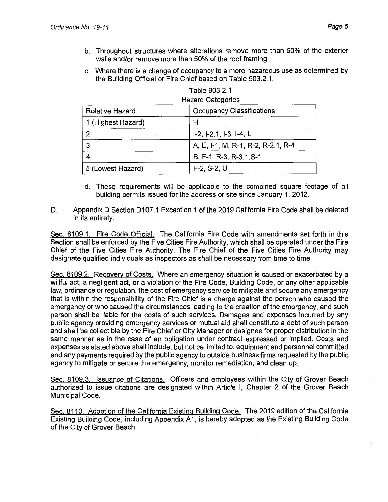- b. Throughout structures where alterations remove more than 50% of the exterior walls and/or remove more than 50% of the roof framing.
- c. Where there is a change of occupancy to a more hazardous use as determined by the Building Official or Fire Chief based on Table 903.2.1.

| <b>Hazard Categories</b> |                                    |  |  |  |
|--------------------------|------------------------------------|--|--|--|
| <b>Relative Hazard</b>   | <b>Occupancy Classifications</b>   |  |  |  |
| 1 (Highest Hazard)       | н                                  |  |  |  |
|                          | I-2, I-2.1, I-3, I-4, L            |  |  |  |
| 3                        | A, E, I-1, M, R-1, R-2, R-2.1, R-4 |  |  |  |
|                          | B. F-1, R-3, R-3.1, S-1            |  |  |  |
| 5 (Lowest Hazard)        | $F-2, S-2, U$                      |  |  |  |

| Table 903.2.1 |  |  |
|---------------|--|--|
|               |  |  |

- d. These requirements will be applicable to the combined square footage of all building permits issued for the address or site since January 1, 2012.
- D. Appendix D Section D107.1 Exception 1 of the 2019 California Fire Code shall be deleted in its entirety.

Sec. 8109.1. Fire Code Official. The California Fire Code with amendments set forth in this Section shall be enforced by the Five Cities Fire Authority, which shall be operated under the Fire Chief of the Five Cities Fire Authority. The Fire Chief of the Five Cities Fire Authority may designate qualified individuals as inspectors as shall be necessary from time to time.

Sec. 8109.2. Recovery of Costs. Where an emergency situation is caused or exacerbated by a willful act, a negligent act, or a violation of the Fire Code, Building Code, or any other applicable law, ordinance or regulation, the cost of emergency service to mitigate and secure any emergency that is within the responsibility of the Fire Chief is a charge against the person who caused the emergency or who caused the circumstances leading to the creation of the emergency, and such person shall be liable for the costs of such services. Damages and expenses incurred by any public agency providing emergency services or mutual aid shall constitute a debt of such person and shall be collectible by the Fire Chief or City Manager or designee for proper distribution in the same manner as in the case of an obligation under contract expressed or implied. Costs and expenses as stated above shall include, but not be limited to, equipment and personnel committed and any payments required by the public agency to outside business firms requested by the public agency to mitigate or secure the emergency, monitor remediation, and clean up.

Sec. 8109.3. Issuance of Citations. Officers and employees within the City of Grover Beach authorized to issue citations are designated within Article I, Chapter 2 of the Grover Beach Municipal Code.

Sec. 8110. Adoption of the California Existing Building Code. The 2019 edition of the California Existing Building Code, including Appendix A1, is hereby adopted as the Existing Building Code of the City of Grover Beach.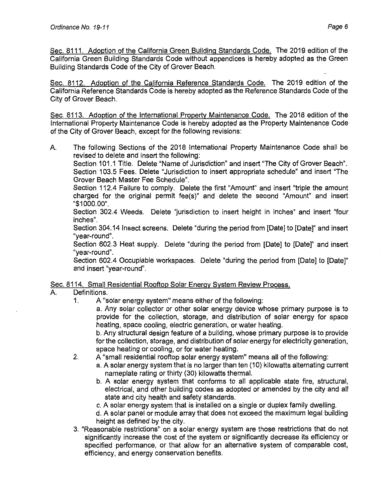Sec. 8111. Adoption of the California Green Building Standards Code. The 2019 edition of the California Green Building Standards Code without appendices is hereby adopted as the Green Building Standards Code of the City of Grover Beach.

Sec. 8112. Adoption of the California Reference Standards Code. The 2019 edition of the California Reference Standards Code is hereby adopted as the Reference Standards Code of the City of Grover Beach.

Sec. 8113. Adoption of the International Property Maintenance Code. The 2018 edition of the International Property Maintenance Code is hereby adopted as the Property Maintenance Code of the City of Grover Beach, except for the following revisions:

A. The following Sections of the 2018 International Property Maintenance Code shall be revised to delete and insert the following:

Section 101.1 Title. Delete "Name of Jurisdiction" and insert "The City of Grover Beach". Section 103.5 Fees. Delete "Jurisdiction to insert appropriate schedule" and insert "The Grover Beach Master Fee Schedule".

Section 112.4 Failure to comply. Delete the first "Amount" and insert "triple the amount charged for the original permit fee(s)" and delete the second "Amount" and insert "\$1000.00".

Section 302.4 Weeds. Delete "jurisdiction to insert height in inches" and insert "four inches".

Section 304.14 Insect screens. Delete "during the period from [Date] to [Date]" and insert "year-round".

Section 602.3 Heat supply. Delete "during the period from [Date] to [Date]" and insert "year-round".

Section 602.4 Occupiable workspaces. Delete "during the period from [Date] to [Date]" and insert "year-round".

# Sec. 8114. Small Residential Rooftop Solar Energy System Review Process.

# A. Definitions.

1. A "solar energy system" means either of the following:

a. Any solar collector or other solar energy device whose primary purpose is to provide for the collection, storage, and distribution of solar energy for space heating, space cooling, electric generation, or water heating.

b. Any structural design feature of a building, whose primary purpose is to provide for the collection, storage, and distribution of solar energy for electricity generation, space heating or cooling, or for water heating.

- 2. A "small residential rooftop solar energy system" means all of the following:
	- a. A solar energy system that is no larger than ten (10) kilowatts alternating current nameplate rating or thirty (30) kilowatts thermal.
		- b. A solar energy system that conforms to all applicable state fire, structural, electrical, and other building codes as adopted or amended by the city and all state and city health and safety standards.
		- c. A solar energy system that is installed on a single or duplex family dwelling.
		- d. A solar panel or module array that does not exceed the maximum legal building height as defined by the city.
- 3. "Reasonable restrictions" on a solar energy system are those restrictions that do not significantly increase the cost of the system or significantly decrease its efficiency or specified performance, or that allow for an alternative system of comparable cost, efficiency, and energy conservation benefits.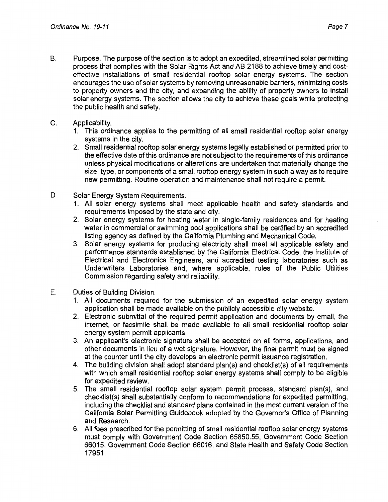- B. Purpose. The purpose of the section is to adopt an expedited, streamlined solar permitting process that complies with the Solar Rights Act and AB 2188 to achieve timely and costeffective installations of small residential rooftop solar energy systems. The section encourages the use of solar systems by removing unreasonable barriers, minimizing costs to property owners and the city, and expanding the ability of property owners to install solar energy systems. The section allows the city to achieve these goals while protecting the public health and safety.
- C. Applicability.
	- 1. This ordinance applies to the permitting of all small residential rooftop solar energy systems in the city.
	- 2. Small residential rooftop solar energy systems legally established or permitted prior to the effective date of this ordinance are not subject to the requirements of this ordinance unless physical modifications or alterations are undertaken that materially change the size, type, or components of a small rooftop energy system in such a way as to require new permitting. Routine operation and maintenance shall not require a permit.
- D Solar Energy System Requirements.
	- 1. All solar energy systems shall meet applicable health and safety standards and requirements imposed by the state and city.
	- 2. Solar energy systems for heating water in single-family residences and for heating water in commercial or swimming pool applications shall be certified by an accredited listing agency as defined by the California Plumbing and Mechanical Code.
	- 3. Solar energy systems for producing electricity shall meet all applicable safety and performance standards established by the California Electrical Code, the Institute of Electrical and Electronics Engineers, and accredited testing laboratories such as Underwriters Laboratories and, where applicable, rules of the Public Utilities Commission regarding safety and reliability.
- E. Duties of Building Division.
	- 1. All documents required for the submission of an expedited solar energy system application shall be made available on the publicly accessible city website.
	- 2. Electronic submittal of the required permit application and documents by email, the internet, or facsimile shall be made available to all small residential rooftop solar energy system permit applicants.
	- 3. An applicant's electronic signature shall be accepted on all forms, applications, and other documents in lieu of a wet signature. However, the final permit must be signed at the counter until the city develops an electronic permit issuance registration.
	- 4. The building division shall adopt standard plan(s) and checklist(s) of all requirements with which small residential rooftop solar energy systems shall comply to be eligible for expedited review.
	- 5. The small residential rooftop solar system permit process, standard plan(s), and checklist(s) shall substantially conform to recommendations for expedited permitting, including the checklist and standard plans contained in the most current version of the California Solar Permitting Guidebook adopted by the Governor's Office of Planning and Research.
	- 6. All fees prescribed for the permitting of small residential rooftop solar energy systems must comply with Government Code Section 65850.55, Government Code Section 66015, Government Code Section 66016, and State Health and Safety Code Section 17951.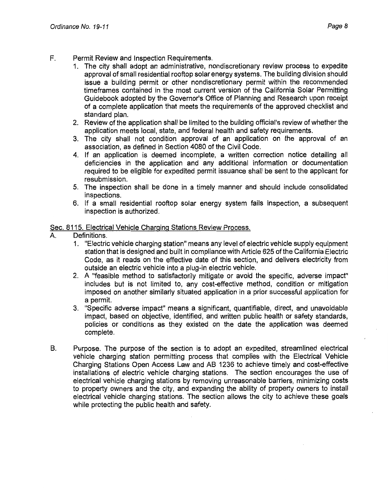- F. Permit Review and Inspection Requirements.
	- 1. The city shall adopt an administrative, nondiscretionary review process to expedite approval of small residential rooftop solar energy systems. The building division should issue a building permit or other nondiscretionary permit within the recommended timeframes contained in the most current version of the California Solar Permitting Guidebook adopted by the Governor's Office of Planning and Research upon receipt of a complete application that meets the requirements of the approved checklist and standard plan.
	- 2. Review of the application shall be limited to the building official's review of whether the application meets local, state, and federal health and safety requirements.
	- 3. The city shall not condition approval of an application on the approval of an association, as defined in Section 4080 of the Civil Code.
	- 4. If an application is deemed incomplete, a written correction notice detailing all deficiencies in the application and any additional information or documentation required to be eligible for expedited permit issuance shall be sent to the applicant for resubmission.
	- 5. The inspection shall be done in a timely manner and should include consolidated inspections.
	- 6. If a small residential rooftop solar energy system fails inspection, a subsequent inspection is authorized.

## Sec. 8115. Electrical Vehicle Charging Stations Review Process.

- A. Definitions.
	- 1. "Electric vehicle charging station" means any level of electric vehicle supply equipment station that is designed and built in compliance with Article 625 of the California Electric Code, as it reads on the effective date of this section, and delivers electricity from outside an electric vehicle into a plug-in electric vehicle.
	- 2. A "feasible method to satisfactorily mitigate or avoid the specific, adverse impact" includes but is not limited to, any cost-effective method, condition or mitigation imposed on another similarly situated application in a prior successful application for a permit.
	- 3. "Specific adverse impact" means a significant, quantifiable, direct, and unavoidable impact, based on objective, identified, and written public health or safety standards, policies or conditions as they existed on the date the application was deemed complete.
- 8. Purpose. The purpose of the section is to adopt an expedited, streamlined electrical vehicle charging station permitting process that complies with the Electrical Vehicle Charging Stations Open Access Law and AB 1236 to achieve timely and cost-effective installations of electric vehicle charging stations. The section encourages the use of electrical vehicle charging stations by removing unreasonable barriers, minimizing costs to property owners and the city, and expanding the ability of property owners to install electrical vehicle charging stations. The section allows the city to achieve these goals while protecting the public health and safety.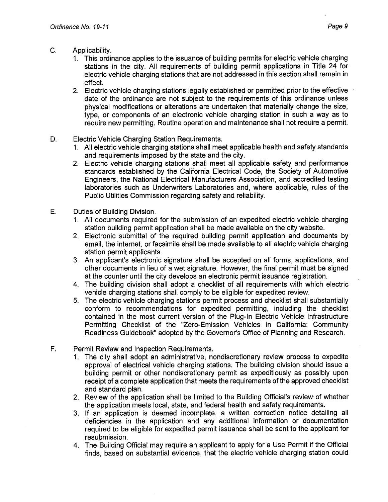- C. Applicability.
	- 1. This ordinance applies to the issuance of building permits for electric vehicle charging stations in the city. All requirements of building permit applications in Title 24 for electric vehicle charging stations that are not addressed in this section shall remain in effect.
	- 2. Electric vehicle charging stations legally established or permitted prior to the effective date of the ordinance are not subject to the requirements of this ordinance unless physical modifications or alterations are undertaken that materially change the size, type, or components of an electronic vehicle charging station in such a way as to require new permitting. Routine operation and maintenance shall not require a permit.
- D. Electric Vehicle Charging Station Requirements.
	- 1. All electric vehicle charging stations shall meet applicable health and safety standards and requirements imposed by the state and the city.
	- 2. Electric vehicle charging stations shall meet all applicable safety and performance standards established by the California Electrical Code, the Society of Automotive Engineers, the National Electrical Manufacturers Association, and accredited testing laboratories such as Underwriters Laboratories and, where applicable, rules of the Public Utilities Commission regarding safety and reliability.
- E. Duties of Building Division.
	- 1. All documents required for the submission of an expedited electric vehicle charging station building permit application shall be made available on the city website.
	- 2. Electronic submittal of the required building permit application and documents by email, the internet, or facsimile shall be made available to all electric vehicle charging station permit applicants.
	- 3. An applicant's electronic signature shall be accepted on all forms, applications, and other documents in lieu of a wet signature. However, the final permit must be signed at the counter until the city develops an electronic permit issuance registration.
	- 4. The building division shall adopt a checklist of all requirements with which electric vehicle charging stations shall comply to be eligible for expedited review.
	- 5. The electric vehicle charging stations permit process and checklist shall substantially conform to recommendations for expedited permitting, including the checklist contained in the most current version of the Plug-In Electric Vehicle Infrastructure Permitting Checklist of the "Zero-Emission Vehicles in California: Community Readiness Guidebook" adopted by the Governor's Office of Planning and Research.
- F. Permit Review and Inspection Requirements.
	- 1. The city shall adopt an administrative, nondiscretionary review process to expedite approval of electrical vehicle charging stations. The building division should issue a building permit or other nondiscretionary permit as expeditiously as possibly upon receipt of a complete application that meets the requirements of the approved checklist and standard plan.
	- 2. Review of the application shall be limited to the Building Official's review of whether the application meets local, state, and federal health and safety requirements.
	- 3. If an application is deemed incomplete, a written correction notice detailing all deficiencies in the application and any additional information or documentation required to be eligible for expedited permit issuance shall be sent to the applicant for resubmission.
	- 4. The Building Official may require an applicant to apply for a Use Permit if the Official finds, based on substantial evidence, that the electric vehicle charging station could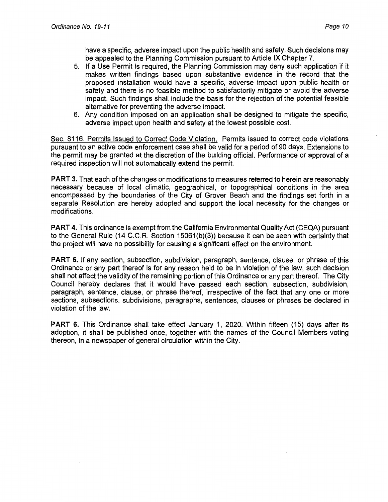have a specific, adverse impact upon the public health and safety. Such decisions may be appealed to the Planning Commission pursuant to Article IX Chapter 7.

- 5. If a Use Permit is required, the Planning Commission may deny such application if it makes written findings based upon substantive evidence in the record that the proposed installation would have a specific, adverse impact upon public health or safety and there is no feasible method to satisfactorily mitigate or avoid the adverse impact. Such findings shall include the basis for the rejection of the potential feasible alternative for preventing the adverse impact.
- 6. Any condition imposed on an application shall be designed to mitigate the specific, adverse impact upon health and safety at the lowest possible cost.

Sec. 8116. Permits Issued to Correct Code Violation. Permits issued to correct code violations pursuant to an active code enforcement case shall be valid for a period of 90 days. Extensions to the permit may be granted at the discretion of the building official. Performance or approval of a required inspection will not automatically extend the permit.

**PART** 3. That each of the changes or modifications to measures referred to herein are reasonably necessary because of local climatic, geographical, or topographical conditions in the area encompassed by the boundaries of the City of Grover Beach and the findings set forth in a separate Resolution are hereby adopted and support the local necessity for the changes or modifications.

**PART 4.** This ordinance is exempt from the California Environmental Quality Act (CEQA) pursuant to the General Rule (14 C.C.R. Section 15061(b)(3)) because it can be seen with certainty that the project will have no possibility for causing a significant effect on the environment.

**PART** 5. If any section, subsection, subdivision, paragraph, sentence, clause, or phrase of this Ordinance or any part thereof is for any reason held to be in violation of the law, such decision shall not affect the validity of the remaining portion of this Ordinance or any part thereof. The City Council hereby declares that it would have passed each section, subsection, subdivision, paragraph, sentence, clause, or phrase thereof, irrespective of the fact that any one or more sections, subsections, subdivisions, paragraphs, sentences, clauses or phrases be declared in violation of the law.

**PART** 6. This Ordinance shall take effect January 1, 2020. Within fifteen (15) days after its adoption, it shall be published once, together with the names of the Council Members voting thereon, in a newspaper of general circulation within the City.